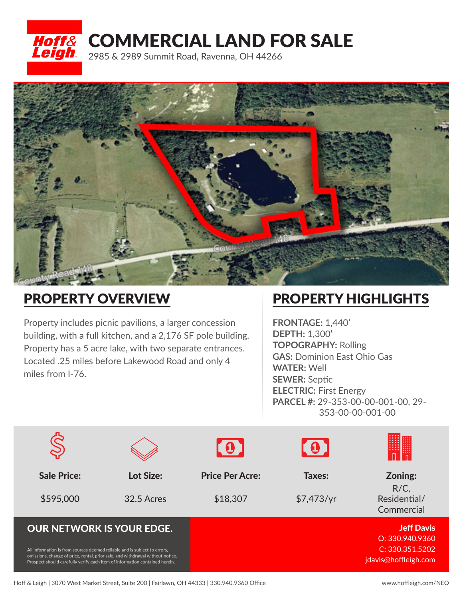## **Hoff& COMMERCIAL LAND FOR SALE** 2985 & 2989 Summit Road, Ravenna, OH 44266



## PROPERTY OVERVIEW

Property includes picnic pavilions, a larger concession building, with a full kitchen, and a 2,176 SF pole building. Property has a 5 acre lake, with two separate entrances. Located .25 miles before Lakewood Road and only 4 miles from I-76.

## PROPERTY HIGHLIGHTS

**FRONTAGE:** 1,440' **DEPTH:** 1,300' **TOPOGRAPHY:** Rolling **GAS:** Dominion East Ohio Gas **WATER:** Well **SEWER:** Septic **ELECTRIC:** First Energy **PARCEL #:** 29-353-00-00-001-00, 29- 353-00-00-001-00

|                                                                                                                                                                                                                                            |                  | $\cdot$ 0 $\cdot$      | $\blacksquare$ |                                         |
|--------------------------------------------------------------------------------------------------------------------------------------------------------------------------------------------------------------------------------------------|------------------|------------------------|----------------|-----------------------------------------|
| <b>Sale Price:</b>                                                                                                                                                                                                                         | <b>Lot Size:</b> | <b>Price Per Acre:</b> | Taxes:         | Zoning:                                 |
| \$595,000                                                                                                                                                                                                                                  | 32.5 Acres       | \$18,307               | \$7,473/yr     | $R/C$ ,<br>Residential/<br>Commercial   |
| <b>OUR NETWORK IS YOUR EDGE.</b>                                                                                                                                                                                                           |                  |                        |                | <b>Jeff Davis</b><br>O: 330.940.9360    |
| All information is from sources deemed reliable and is subject to errors,<br>omissions, change of price, rental, prior sale, and withdrawal without notice.<br>Prospect should carefully verify each item of information contained herein. |                  |                        |                | C: 330.351.5202<br>jdavis@hoffleigh.com |